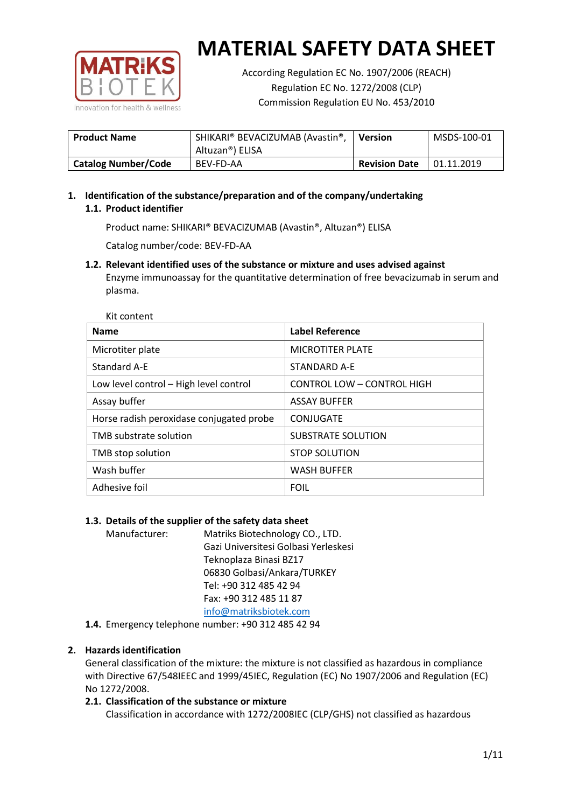

According Regulation EC No. 1907/2006 (REACH) Regulation EC No. 1272/2008 (CLP) Commission Regulation EU No. 453/2010

| <b>Product Name</b>        | SHIKARI® BEVACIZUMAB (Avastin®,<br>Altuzan®) ELISA | Version              | MSDS-100-01 |
|----------------------------|----------------------------------------------------|----------------------|-------------|
| <b>Catalog Number/Code</b> | <b>BEV-FD-AA</b>                                   | <b>Revision Date</b> | 01.11.2019  |

# **1. Identification of the substance/preparation and of the company/undertaking 1.1. Product identifier**

Product name: SHIKARI® BEVACIZUMAB (Avastin®, Altuzan®) ELISA

Catalog number/code: BEV-FD-AA

**1.2. Relevant identified uses of the substance or mixture and uses advised against** Enzyme immunoassay for the quantitative determination of free bevacizumab in serum and plasma.

| <b>Name</b>                              | Label Reference                   |
|------------------------------------------|-----------------------------------|
| Microtiter plate                         | <b>MICROTITER PLATE</b>           |
| Standard A-E                             | STANDARD A-F                      |
| Low level control - High level control   | <b>CONTROL LOW - CONTROL HIGH</b> |
| Assay buffer                             | <b>ASSAY BUFFER</b>               |
| Horse radish peroxidase conjugated probe | CONJUGATE                         |
| TMB substrate solution                   | <b>SUBSTRATE SOLUTION</b>         |
| TMB stop solution                        | <b>STOP SOLUTION</b>              |
| Wash buffer                              | <b>WASH BUFFER</b>                |
| Adhesive foil                            | <b>FOIL</b>                       |

# **1.3. Details of the supplier of the safety data sheet**

Manufacturer: Matriks Biotechnology CO., LTD. Gazi Universitesi Golbasi Yerleskesi Teknoplaza Binasi BZ17 06830 Golbasi/Ankara/TURKEY Tel: +90 312 485 42 94 Fax: +90 312 485 11 87 [info@matriksbiotek.com](mailto:info@matriksbiotek.com)

**1.4.** Emergency telephone number: +90 312 485 42 94

## **2. Hazards identification**

General classification of the mixture: the mixture is not classified as hazardous in compliance with Directive 67/548IEEC and 1999/45IEC, Regulation (EC) No 1907/2006 and Regulation (EC) No 1272/2008.

## **2.1. Classification of the substance or mixture**

Classification in accordance with 1272/2008IEC (CLP/GHS) not classified as hazardous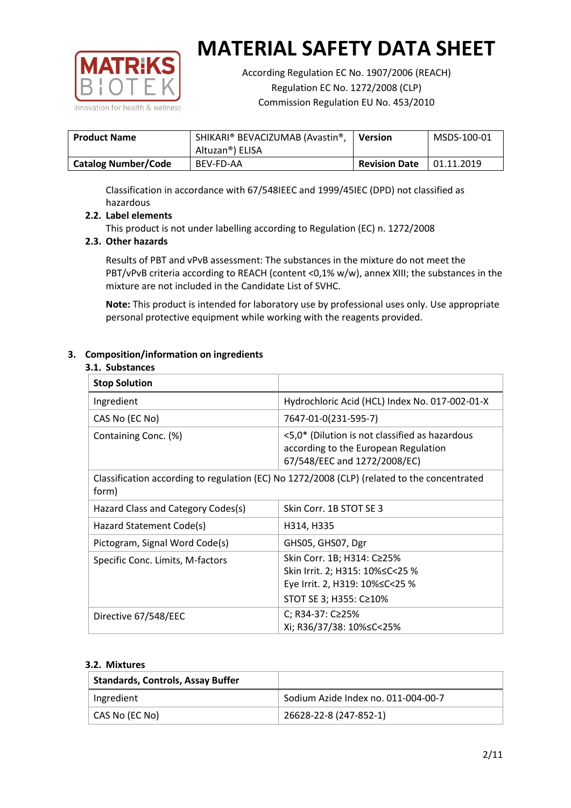

According Regulation EC No. 1907/2006 (REACH) Regulation EC No. 1272/2008 (CLP) Commission Regulation EU No. 453/2010

| <b>Product Name</b>        | SHIKARI® BEVACIZUMAB (Avastin®,<br>Altuzan®) ELISA | <b>Version</b>       | MSDS-100-01 |
|----------------------------|----------------------------------------------------|----------------------|-------------|
| <b>Catalog Number/Code</b> | BEV-FD-AA                                          | <b>Revision Date</b> | 01.11.2019  |

Classification in accordance with 67/548IEEC and 1999/45IEC (DPD) not classified as hazardous

## **2.2. Label elements**

This product is not under labelling according to Regulation (EC) n. 1272/2008

## **2.3. Other hazards**

Results of PBT and vPvB assessment: The substances in the mixture do not meet the PBT/vPvB criteria according to REACH (content <0,1% w/w), annex XIII; the substances in the mixture are not included in the Candidate List of SVHC.

**Note:** This product is intended for laboratory use by professional uses only. Use appropriate personal protective equipment while working with the reagents provided.

## **3. Composition/information on ingredients**

#### **3.1. Substances**

| <b>Stop Solution</b>                                                                                 |                                                                                                                               |
|------------------------------------------------------------------------------------------------------|-------------------------------------------------------------------------------------------------------------------------------|
| Ingredient                                                                                           | Hydrochloric Acid (HCL) Index No. 017-002-01-X                                                                                |
| CAS No (EC No)                                                                                       | 7647-01-0(231-595-7)                                                                                                          |
| Containing Conc. (%)                                                                                 | <5,0* (Dilution is not classified as hazardous<br>according to the European Regulation<br>67/548/EEC and 1272/2008/EC)        |
| Classification according to regulation (EC) No 1272/2008 (CLP) (related to the concentrated<br>form) |                                                                                                                               |
| Hazard Class and Category Codes(s)                                                                   | Skin Corr. 1B STOT SE 3                                                                                                       |
| Hazard Statement Code(s)                                                                             | H314, H335                                                                                                                    |
| Pictogram, Signal Word Code(s)                                                                       | GHS05, GHS07, Dgr                                                                                                             |
| Specific Conc. Limits, M-factors                                                                     | Skin Corr. 1B; H314: C≥25%<br>Skin Irrit. 2; H315: 10% ≤ C < 25 %<br>Eye Irrit. 2, H319: 10%≤C<25 %<br>STOT SE 3; H355: C≥10% |
| Directive 67/548/EEC                                                                                 | C; R34-37: C≥25%<br>Xi; R36/37/38: 10%≤C<25%                                                                                  |

#### **3.2. Mixtures**

| <b>Standards, Controls, Assay Buffer</b> |                                     |
|------------------------------------------|-------------------------------------|
| Ingredient                               | Sodium Azide Index no. 011-004-00-7 |
| CAS No (EC No)                           | 26628-22-8 (247-852-1)              |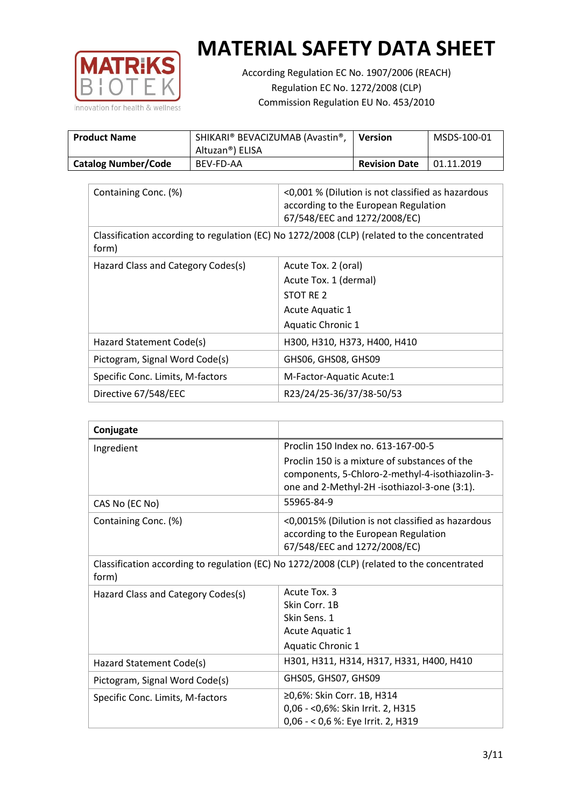

According Regulation EC No. 1907/2006 (REACH) Regulation EC No. 1272/2008 (CLP) Commission Regulation EU No. 453/2010

| <b>Product Name</b>        | SHIKARI® BEVACIZUMAB (Avastin®,<br>Altuzan®) ELISA | <b>Version</b>       | MSDS-100-01 |
|----------------------------|----------------------------------------------------|----------------------|-------------|
| <b>Catalog Number/Code</b> | BEV-FD-AA                                          | <b>Revision Date</b> | 01.11.2019  |

| Containing Conc. (%)                                                                                 | <0,001 % (Dilution is not classified as hazardous<br>according to the European Regulation<br>67/548/EEC and 1272/2008/EC) |  |
|------------------------------------------------------------------------------------------------------|---------------------------------------------------------------------------------------------------------------------------|--|
| Classification according to regulation (EC) No 1272/2008 (CLP) (related to the concentrated<br>form) |                                                                                                                           |  |
| Hazard Class and Category Codes(s)                                                                   | Acute Tox. 2 (oral)                                                                                                       |  |
|                                                                                                      | Acute Tox. 1 (dermal)                                                                                                     |  |
|                                                                                                      | STOT RE 2                                                                                                                 |  |
|                                                                                                      | Acute Aquatic 1                                                                                                           |  |
|                                                                                                      | <b>Aquatic Chronic 1</b>                                                                                                  |  |
| Hazard Statement Code(s)                                                                             | H300, H310, H373, H400, H410                                                                                              |  |
| Pictogram, Signal Word Code(s)                                                                       | GHS06, GHS08, GHS09                                                                                                       |  |
| Specific Conc. Limits, M-factors                                                                     | M-Factor-Aquatic Acute:1                                                                                                  |  |
| Directive 67/548/EEC                                                                                 | R23/24/25-36/37/38-50/53                                                                                                  |  |

| Conjugate                          |                                                                                                                                                  |
|------------------------------------|--------------------------------------------------------------------------------------------------------------------------------------------------|
| Ingredient                         | Proclin 150 Index no. 613-167-00-5                                                                                                               |
|                                    | Proclin 150 is a mixture of substances of the<br>components, 5-Chloro-2-methyl-4-isothiazolin-3-<br>one and 2-Methyl-2H -isothiazol-3-one (3:1). |
| CAS No (EC No)                     | 55965-84-9                                                                                                                                       |
| Containing Conc. (%)               | <0,0015% (Dilution is not classified as hazardous<br>according to the European Regulation<br>67/548/EEC and 1272/2008/EC)                        |
| form)                              | Classification according to regulation (EC) No 1272/2008 (CLP) (related to the concentrated                                                      |
| Hazard Class and Category Codes(s) | Acute Tox, 3                                                                                                                                     |
|                                    | Skin Corr. 1B                                                                                                                                    |
|                                    | Skin Sens. 1                                                                                                                                     |
|                                    | Acute Aquatic 1                                                                                                                                  |
|                                    | <b>Aquatic Chronic 1</b>                                                                                                                         |
| Hazard Statement Code(s)           | H301, H311, H314, H317, H331, H400, H410                                                                                                         |
| Pictogram, Signal Word Code(s)     | GHS05, GHS07, GHS09                                                                                                                              |
| Specific Conc. Limits, M-factors   | ≥0,6%: Skin Corr. 1B, H314<br>0,06 - < 0,6%: Skin Irrit. 2, H315<br>0,06 - < 0,6 %: Eye Irrit. 2, H319                                           |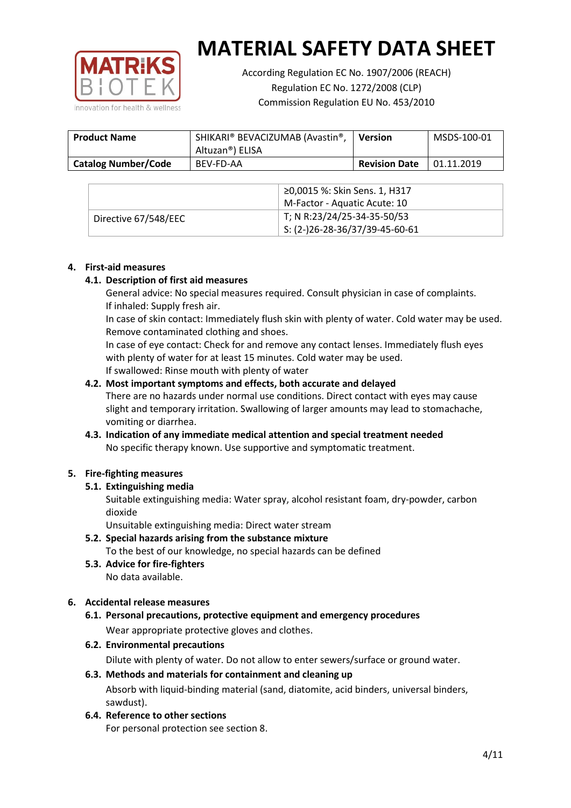

According Regulation EC No. 1907/2006 (REACH) Regulation EC No. 1272/2008 (CLP) Commission Regulation EU No. 453/2010

| <b>Product Name</b>        | SHIKARI® BEVACIZUMAB (Avastin®,<br>Altuzan®) ELISA | <b>Version</b>       | MSDS-100-01 |
|----------------------------|----------------------------------------------------|----------------------|-------------|
| <b>Catalog Number/Code</b> | BEV-FD-AA                                          | <b>Revision Date</b> | 01.11.2019  |

|                      | ≥0,0015 %: Skin Sens. 1, H317    |
|----------------------|----------------------------------|
|                      | M-Factor - Aquatic Acute: 10     |
| Directive 67/548/EEC | T; N R:23/24/25-34-35-50/53      |
|                      | $5: (2-)26-28-36/37/39-45-60-61$ |

#### **4. First-aid measures**

## **4.1. Description of first aid measures**

General advice: No special measures required. Consult physician in case of complaints. If inhaled: Supply fresh air.

In case of skin contact: Immediately flush skin with plenty of water. Cold water may be used. Remove contaminated clothing and shoes.

In case of eye contact: Check for and remove any contact lenses. Immediately flush eyes with plenty of water for at least 15 minutes. Cold water may be used. If swallowed: Rinse mouth with plenty of water

## **4.2. Most important symptoms and effects, both accurate and delayed**

There are no hazards under normal use conditions. Direct contact with eyes may cause slight and temporary irritation. Swallowing of larger amounts may lead to stomachache, vomiting or diarrhea.

## **4.3. Indication of any immediate medical attention and special treatment needed** No specific therapy known. Use supportive and symptomatic treatment.

## **5. Fire-fighting measures**

## **5.1. Extinguishing media**

Suitable extinguishing media: Water spray, alcohol resistant foam, dry-powder, carbon dioxide

Unsuitable extinguishing media: Direct water stream

- **5.2. Special hazards arising from the substance mixture** To the best of our knowledge, no special hazards can be defined
- **5.3. Advice for fire-fighters** No data available.

## **6. Accidental release measures**

- **6.1. Personal precautions, protective equipment and emergency procedures** Wear appropriate protective gloves and clothes.
- **6.2. Environmental precautions**

Dilute with plenty of water. Do not allow to enter sewers/surface or ground water.

#### **6.3. Methods and materials for containment and cleaning up**

Absorb with liquid-binding material (sand, diatomite, acid binders, universal binders, sawdust).

**6.4. Reference to other sections**

For personal protection see section 8.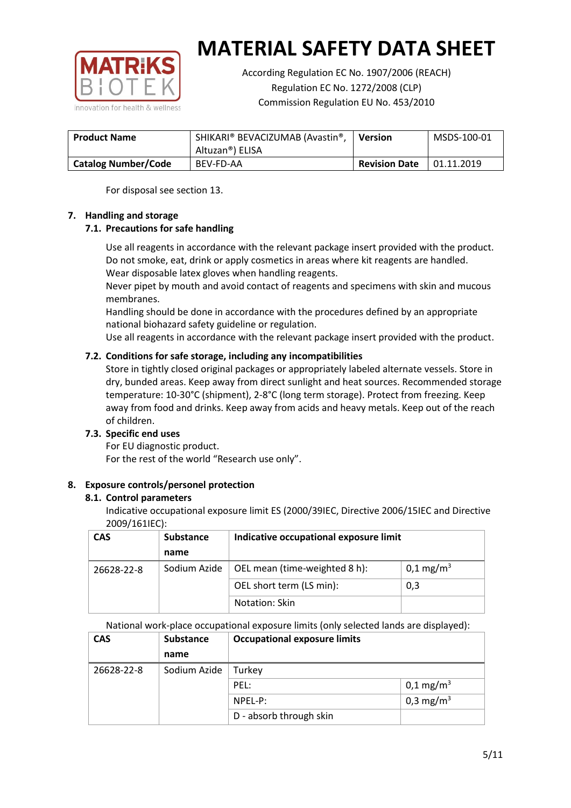

According Regulation EC No. 1907/2006 (REACH) Regulation EC No. 1272/2008 (CLP) Commission Regulation EU No. 453/2010

| <b>Product Name</b>        | SHIKARI® BEVACIZUMAB (Avastin®,<br>Altuzan®) ELISA | Version              | MSDS-100-01 |
|----------------------------|----------------------------------------------------|----------------------|-------------|
| <b>Catalog Number/Code</b> | BEV-FD-AA                                          | <b>Revision Date</b> | 01.11.2019  |

For disposal see section 13.

## **7. Handling and storage**

## **7.1. Precautions for safe handling**

Use all reagents in accordance with the relevant package insert provided with the product. Do not smoke, eat, drink or apply cosmetics in areas where kit reagents are handled. Wear disposable latex gloves when handling reagents.

Never pipet by mouth and avoid contact of reagents and specimens with skin and mucous membranes.

Handling should be done in accordance with the procedures defined by an appropriate national biohazard safety guideline or regulation.

Use all reagents in accordance with the relevant package insert provided with the product.

## **7.2. Conditions for safe storage, including any incompatibilities**

Store in tightly closed original packages or appropriately labeled alternate vessels. Store in dry, bunded areas. Keep away from direct sunlight and heat sources. Recommended storage temperature: 10-30°C (shipment), 2-8°C (long term storage). Protect from freezing. Keep away from food and drinks. Keep away from acids and heavy metals. Keep out of the reach of children.

## **7.3. Specific end uses**

For EU diagnostic product. For the rest of the world "Research use only".

## **8. Exposure controls/personel protection**

#### **8.1. Control parameters**

Indicative occupational exposure limit ES (2000/39IEC, Directive 2006/15IEC and Directive 2009/161IEC):

| <b>CAS</b> | <b>Substance</b> | Indicative occupational exposure limit |                         |
|------------|------------------|----------------------------------------|-------------------------|
|            | name             |                                        |                         |
| 26628-22-8 | Sodium Azide     | OEL mean (time-weighted 8 h):          | $0,1 \,\mathrm{mg/m^3}$ |
|            |                  | OEL short term (LS min):               | 0,3                     |
|            |                  | Notation: Skin                         |                         |

National work-place occupational exposure limits (only selected lands are displayed):

| <b>CAS</b> | <b>Substance</b> | <b>Occupational exposure limits</b> |                         |
|------------|------------------|-------------------------------------|-------------------------|
|            | name             |                                     |                         |
| 26628-22-8 | Sodium Azide     | Turkey                              |                         |
|            |                  | PEL:                                | $0,1 \,\mathrm{mg/m^3}$ |
|            |                  | $NPEL-P$ :                          | 0,3 mg/m <sup>3</sup>   |
|            |                  | D - absorb through skin             |                         |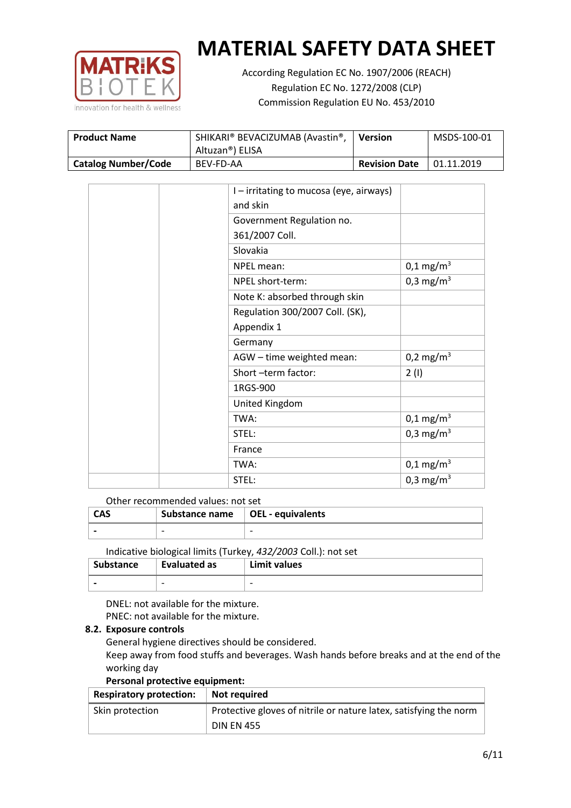

According Regulation EC No. 1907/2006 (REACH) Regulation EC No. 1272/2008 (CLP) Commission Regulation EU No. 453/2010

| <b>Product Name</b>        | <sup>I</sup> SHIKARI® BEVACIZUMAB (Avastin®,<br>Altuzan®) ELISA | Version              | MSDS-100-01 |
|----------------------------|-----------------------------------------------------------------|----------------------|-------------|
| <b>Catalog Number/Code</b> | BEV-FD-AA                                                       | <b>Revision Date</b> | 01.11.2019  |

| I – irritating to mucosa (eye, airways) |                         |
|-----------------------------------------|-------------------------|
| and skin                                |                         |
| Government Regulation no.               |                         |
| 361/2007 Coll.                          |                         |
| Slovakia                                |                         |
| NPEL mean:                              | $0,1 \text{ mg/m}^3$    |
| NPEL short-term:                        | 0,3 mg/m <sup>3</sup>   |
| Note K: absorbed through skin           |                         |
| Regulation 300/2007 Coll. (SK),         |                         |
| Appendix 1                              |                         |
| Germany                                 |                         |
| AGW - time weighted mean:               | 0,2 mg/m <sup>3</sup>   |
| Short-term factor:                      | 2(1)                    |
| 1RGS-900                                |                         |
| United Kingdom                          |                         |
| TWA:                                    | $0,1 \,\mathrm{mg/m^3}$ |
| STEL:                                   | 0,3 mg/m <sup>3</sup>   |
| France                                  |                         |
| TWA:                                    | $0,1 \text{ mg/m}^3$    |
| STEL:                                   | 0,3 mg/m <sup>3</sup>   |

## Other recommended values: not set

| <b>CAS</b> | Substance name $\vert$ OEL - equivalents |   |
|------------|------------------------------------------|---|
|            | $\overline{\phantom{0}}$                 | - |
|            |                                          |   |

Indicative biological limits (Turkey, *432/2003* Coll.): not set

| Substance                | Evaluated as             | Limit values             |
|--------------------------|--------------------------|--------------------------|
| $\overline{\phantom{0}}$ | $\overline{\phantom{0}}$ | $\overline{\phantom{0}}$ |

DNEL: not available for the mixture. PNEC: not available for the mixture.

#### **8.2. Exposure controls**

General hygiene directives should be considered.

Keep away from food stuffs and beverages. Wash hands before breaks and at the end of the working day

#### **Personal protective equipment:**

| <b>Respiratory protection:</b> | Not required                                                      |  |
|--------------------------------|-------------------------------------------------------------------|--|
| Skin protection                | Protective gloves of nitrile or nature latex, satisfying the norm |  |
|                                | <b>DIN EN 455</b>                                                 |  |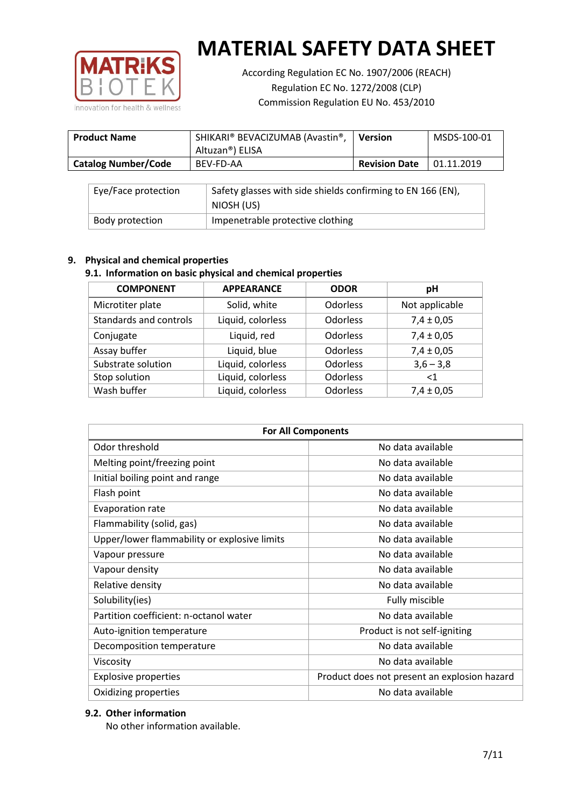

According Regulation EC No. 1907/2006 (REACH) Regulation EC No. 1272/2008 (CLP) Commission Regulation EU No. 453/2010

| <b>Product Name</b>        | SHIKARI® BEVACIZUMAB (Avastin®,<br>Altuzan®) ELISA | <b>Version</b>       | MSDS-100-01 |
|----------------------------|----------------------------------------------------|----------------------|-------------|
| <b>Catalog Number/Code</b> | BEV-FD-AA                                          | <b>Revision Date</b> | 01.11.2019  |

| Eye/Face protection | Safety glasses with side shields confirming to EN 166 (EN),<br>NIOSH (US) |
|---------------------|---------------------------------------------------------------------------|
| Body protection     | Impenetrable protective clothing                                          |

## **9. Physical and chemical properties**

# **9.1. Information on basic physical and chemical properties**

| <b>COMPONENT</b>       | <b>APPEARANCE</b> | <b>ODOR</b>     | pH             |
|------------------------|-------------------|-----------------|----------------|
| Microtiter plate       | Solid, white      | <b>Odorless</b> | Not applicable |
| Standards and controls | Liquid, colorless | <b>Odorless</b> | $7,4 \pm 0,05$ |
| Conjugate              | Liquid, red       | <b>Odorless</b> | $7,4 \pm 0,05$ |
| Assay buffer           | Liquid, blue      | <b>Odorless</b> | $7,4 \pm 0,05$ |
| Substrate solution     | Liquid, colorless | Odorless        | $3,6 - 3,8$    |
| Stop solution          | Liquid, colorless | Odorless        | ${<}1$         |
| Wash buffer            | Liquid, colorless | Odorless        | $7,4 \pm 0,05$ |

| <b>For All Components</b>                    |                                              |  |  |
|----------------------------------------------|----------------------------------------------|--|--|
| Odor threshold                               | No data available                            |  |  |
| Melting point/freezing point                 | No data available                            |  |  |
| Initial boiling point and range              | No data available                            |  |  |
| Flash point                                  | No data available                            |  |  |
| <b>Evaporation rate</b>                      | No data available                            |  |  |
| Flammability (solid, gas)                    | No data available                            |  |  |
| Upper/lower flammability or explosive limits | No data available                            |  |  |
| Vapour pressure                              | No data available                            |  |  |
| Vapour density                               | No data available                            |  |  |
| Relative density                             | No data available                            |  |  |
| Solubility(ies)                              | Fully miscible                               |  |  |
| Partition coefficient: n-octanol water       | No data available                            |  |  |
| Auto-ignition temperature                    | Product is not self-igniting                 |  |  |
| Decomposition temperature                    | No data available                            |  |  |
| Viscosity                                    | No data available                            |  |  |
| <b>Explosive properties</b>                  | Product does not present an explosion hazard |  |  |
| Oxidizing properties                         | No data available                            |  |  |

# **9.2. Other information**

No other information available.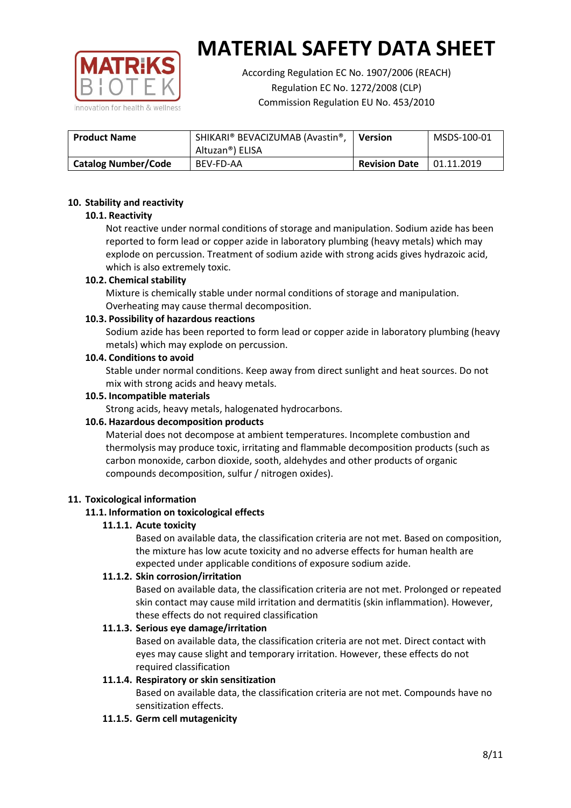

According Regulation EC No. 1907/2006 (REACH) Regulation EC No. 1272/2008 (CLP) Commission Regulation EU No. 453/2010

| <b>Product Name</b>        | SHIKARI® BEVACIZUMAB (Avastin®,<br>Altuzan®) ELISA | <b>Version</b>       | MSDS-100-01 |
|----------------------------|----------------------------------------------------|----------------------|-------------|
| <b>Catalog Number/Code</b> | BEV-FD-AA                                          | <b>Revision Date</b> | 01.11.2019  |

## **10. Stability and reactivity**

## **10.1. Reactivity**

Not reactive under normal conditions of storage and manipulation. Sodium azide has been reported to form lead or copper azide in laboratory plumbing (heavy metals) which may explode on percussion. Treatment of sodium azide with strong acids gives hydrazoic acid, which is also extremely toxic.

## **10.2. Chemical stability**

Mixture is chemically stable under normal conditions of storage and manipulation. Overheating may cause thermal decomposition.

## **10.3. Possibility of hazardous reactions**

Sodium azide has been reported to form lead or copper azide in laboratory plumbing (heavy metals) which may explode on percussion.

#### **10.4. Conditions to avoid**

Stable under normal conditions. Keep away from direct sunlight and heat sources. Do not mix with strong acids and heavy metals.

#### **10.5. Incompatible materials**

Strong acids, heavy metals, halogenated hydrocarbons.

## **10.6. Hazardous decomposition products**

Material does not decompose at ambient temperatures. Incomplete combustion and thermolysis may produce toxic, irritating and flammable decomposition products (such as carbon monoxide, carbon dioxide, sooth, aldehydes and other products of organic compounds decomposition, sulfur / nitrogen oxides).

#### **11. Toxicological information**

## **11.1. Information on toxicological effects**

## **11.1.1. Acute toxicity**

Based on available data, the classification criteria are not met. Based on composition, the mixture has low acute toxicity and no adverse effects for human health are expected under applicable conditions of exposure sodium azide.

## **11.1.2. Skin corrosion/irritation**

Based on available data, the classification criteria are not met. Prolonged or repeated skin contact may cause mild irritation and dermatitis (skin inflammation). However, these effects do not required classification

## **11.1.3. Serious eye damage/irritation**

Based on available data, the classification criteria are not met. Direct contact with eyes may cause slight and temporary irritation. However, these effects do not required classification

## **11.1.4. Respiratory or skin sensitization**

Based on available data, the classification criteria are not met. Compounds have no sensitization effects.

#### **11.1.5. Germ cell mutagenicity**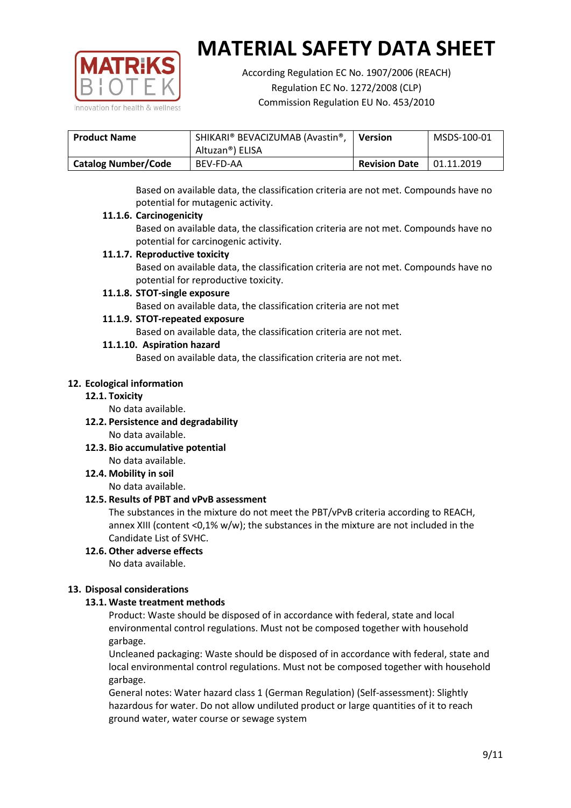

According Regulation EC No. 1907/2006 (REACH) Regulation EC No. 1272/2008 (CLP) Commission Regulation EU No. 453/2010

| <b>Product Name</b>        | SHIKARI® BEVACIZUMAB (Avastin®,<br>Altuzan®) ELISA | <b>Version</b>       | MSDS-100-01 |
|----------------------------|----------------------------------------------------|----------------------|-------------|
| <b>Catalog Number/Code</b> | BEV-FD-AA                                          | <b>Revision Date</b> | 01.11.2019  |

Based on available data, the classification criteria are not met. Compounds have no potential for mutagenic activity.

## **11.1.6. Carcinogenicity**

Based on available data, the classification criteria are not met. Compounds have no potential for carcinogenic activity.

## **11.1.7. Reproductive toxicity**

Based on available data, the classification criteria are not met. Compounds have no potential for reproductive toxicity.

## **11.1.8. STOT-single exposure**

Based on available data, the classification criteria are not met

## **11.1.9. STOT-repeated exposure**

Based on available data, the classification criteria are not met.

## **11.1.10. Aspiration hazard**

Based on available data, the classification criteria are not met.

## **12. Ecological information**

#### **12.1. Toxicity**

No data available.

- **12.2. Persistence and degradability** No data available.
- **12.3. Bio accumulative potential** No data available.

**12.4. Mobility in soil**

No data available.

## **12.5. Results of PBT and vPvB assessment**

The substances in the mixture do not meet the PBT/vPvB criteria according to REACH, annex XIII (content <0,1% w/w); the substances in the mixture are not included in the Candidate List of SVHC.

#### **12.6. Other adverse effects** No data available.

## **13. Disposal considerations**

## **13.1. Waste treatment methods**

Product: Waste should be disposed of in accordance with federal, state and local environmental control regulations. Must not be composed together with household garbage.

Uncleaned packaging: Waste should be disposed of in accordance with federal, state and local environmental control regulations. Must not be composed together with household garbage.

General notes: Water hazard class 1 (German Regulation) (Self-assessment): Slightly hazardous for water. Do not allow undiluted product or large quantities of it to reach ground water, water course or sewage system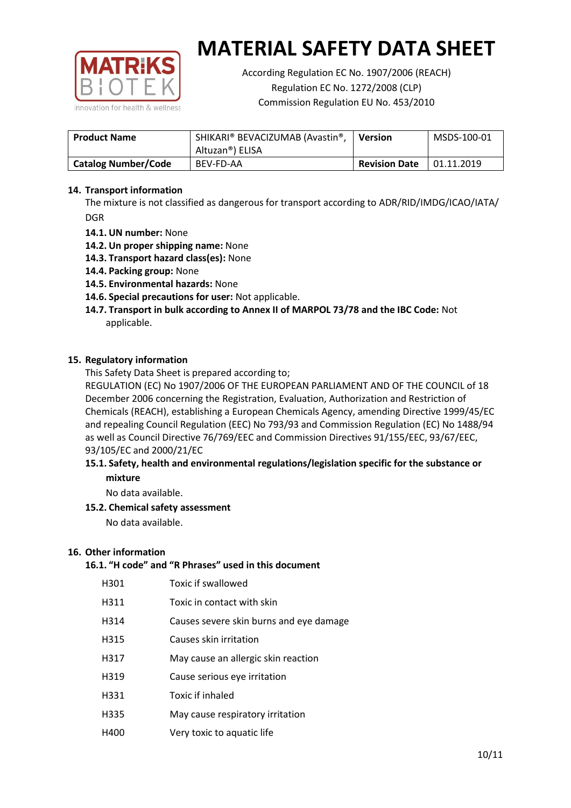

According Regulation EC No. 1907/2006 (REACH) Regulation EC No. 1272/2008 (CLP) Commission Regulation EU No. 453/2010

| <b>Product Name</b>        | SHIKARI® BEVACIZUMAB (Avastin®,<br>Altuzan®) ELISA | <b>Version</b>       | MSDS-100-01 |
|----------------------------|----------------------------------------------------|----------------------|-------------|
| <b>Catalog Number/Code</b> | BEV-FD-AA                                          | <b>Revision Date</b> | 01.11.2019  |

## **14. Transport information**

The mixture is not classified as dangerous for transport according to ADR/RID/IMDG/ICAO/IATA/ DGR

- **14.1. UN number:** None
- **14.2. Un proper shipping name:** None
- **14.3. Transport hazard class(es):** None
- **14.4. Packing group:** None
- **14.5. Environmental hazards:** None
- **14.6. Special precautions for user:** Not applicable.
- **14.7. Transport in bulk according to Annex II of MARPOL 73/78 and the IBC Code:** Not applicable.

#### **15. Regulatory information**

This Safety Data Sheet is prepared according to;

REGULATION (EC) No 1907/2006 OF THE EUROPEAN PARLIAMENT AND OF THE COUNCIL of 18 December 2006 concerning the Registration, Evaluation, Authorization and Restriction of Chemicals (REACH), establishing a European Chemicals Agency, amending Directive 1999/45/EC and repealing Council Regulation (EEC) No 793/93 and Commission Regulation (EC) No 1488/94 as well as Council Directive 76/769/EEC and Commission Directives 91/155/EEC, 93/67/EEC, 93/105/EC and 2000/21/EC

## **15.1. Safety, health and environmental regulations/legislation specific for the substance or mixture**

No data available.

## **15.2. Chemical safety assessment**

No data available.

#### **16. Other information**

# **16.1. "H code" and "R Phrases" used in this document**

| H301 | Toxic if swallowed |
|------|--------------------|
|------|--------------------|

- H311 Toxic in contact with skin
- H314 Causes severe skin burns and eye damage
- H315 Causes skin irritation
- H317 May cause an allergic skin reaction
- H319 Cause serious eye irritation
- H331 Toxic if inhaled
- H335 May cause respiratory irritation
- H400 Very toxic to aquatic life